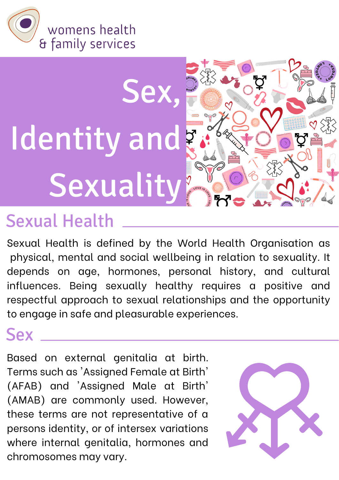

# Sex, Identity and Sexuality

## Sexual Health

Sexual Health is defined by the World Health Organisation as physical, mental and social wellbeing in relation to sexuality. It depends on age, hormones, personal history, and cultural influences. Being sexually healthy requires a positive and respectful approach to sexual relationships and the opportunity to engage in safe and pleasurable experiences.

#### **Sex**

Based on external genitalia at birth. Terms such as 'Assigned Female at Birth' (AFAB) and 'Assigned Male at Birth' (AMAB) are commonly used. However, these terms are not representative of a persons identity, or of intersex variations where internal genitalia, hormones and chromosomes may vary.